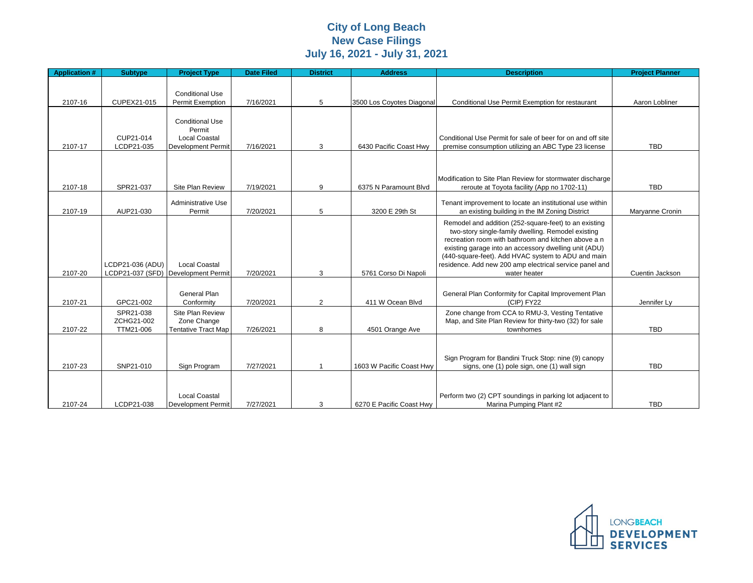## **City of Long Beach New Case Filings July 16, 2021 - July 31, 2021**

| <b>Application #</b> | <b>Subtype</b>                       | <b>Project Type</b>                                                                   | <b>Date Filed</b> | <b>District</b> | <b>Address</b>            | <b>Description</b>                                                                                                                                                                                                                                                                                                                                           | <b>Project Planner</b> |
|----------------------|--------------------------------------|---------------------------------------------------------------------------------------|-------------------|-----------------|---------------------------|--------------------------------------------------------------------------------------------------------------------------------------------------------------------------------------------------------------------------------------------------------------------------------------------------------------------------------------------------------------|------------------------|
| 2107-16              | CUPEX21-015                          | <b>Conditional Use</b><br>Permit Exemption                                            | 7/16/2021         | 5               | 3500 Los Coyotes Diagonal | Conditional Use Permit Exemption for restaurant                                                                                                                                                                                                                                                                                                              | Aaron Lobliner         |
| 2107-17              | CUP21-014<br>LCDP21-035              | <b>Conditional Use</b><br>Permit<br><b>Local Coastal</b><br><b>Development Permit</b> | 7/16/2021         | 3               | 6430 Pacific Coast Hwy    | Conditional Use Permit for sale of beer for on and off site<br>premise consumption utilizing an ABC Type 23 license                                                                                                                                                                                                                                          | <b>TBD</b>             |
| 2107-18              | SPR21-037                            | Site Plan Review                                                                      | 7/19/2021         | 9               | 6375 N Paramount Blvd     | Modification to Site Plan Review for stormwater discharge<br>reroute at Toyota facility (App no 1702-11)                                                                                                                                                                                                                                                     | <b>TBD</b>             |
| 2107-19              | AUP21-030                            | <b>Administrative Use</b><br>Permit                                                   | 7/20/2021         | 5               | 3200 E 29th St            | Tenant improvement to locate an institutional use within<br>an existing building in the IM Zoning District                                                                                                                                                                                                                                                   | Maryanne Cronin        |
| 2107-20              | LCDP21-036 (ADU)                     | <b>Local Coastal</b><br>LCDP21-037 (SFD) Development Permit                           | 7/20/2021         | 3               | 5761 Corso Di Napoli      | Remodel and addition (252-square-feet) to an existing<br>two-story single-family dwelling. Remodel existing<br>recreation room with bathroom and kitchen above a n<br>existing garage into an accessory dwelling unit (ADU)<br>(440-square-feet). Add HVAC system to ADU and main<br>residence. Add new 200 amp electrical service panel and<br>water heater | Cuentin Jackson        |
| 2107-21              | GPC21-002                            | <b>General Plan</b><br>Conformity                                                     | 7/20/2021         | $\overline{2}$  | 411 W Ocean Blvd          | General Plan Conformity for Capital Improvement Plan<br>(CIP) FY22                                                                                                                                                                                                                                                                                           | Jennifer Ly            |
| 2107-22              | SPR21-038<br>ZCHG21-002<br>TTM21-006 | Site Plan Review<br>Zone Change<br><b>Tentative Tract Map</b>                         | 7/26/2021         | 8               | 4501 Orange Ave           | Zone change from CCA to RMU-3, Vesting Tentative<br>Map, and Site Plan Review for thirty-two (32) for sale<br>townhomes                                                                                                                                                                                                                                      | <b>TBD</b>             |
| 2107-23              | SNP21-010                            | Sign Program                                                                          | 7/27/2021         | -1              | 1603 W Pacific Coast Hwy  | Sign Program for Bandini Truck Stop: nine (9) canopy<br>signs, one (1) pole sign, one (1) wall sign                                                                                                                                                                                                                                                          | <b>TBD</b>             |
| 2107-24              | LCDP21-038                           | <b>Local Coastal</b><br>Development Permit                                            | 7/27/2021         | 3               | 6270 E Pacific Coast Hwy  | Perform two (2) CPT soundings in parking lot adjacent to<br>Marina Pumping Plant #2                                                                                                                                                                                                                                                                          | <b>TBD</b>             |